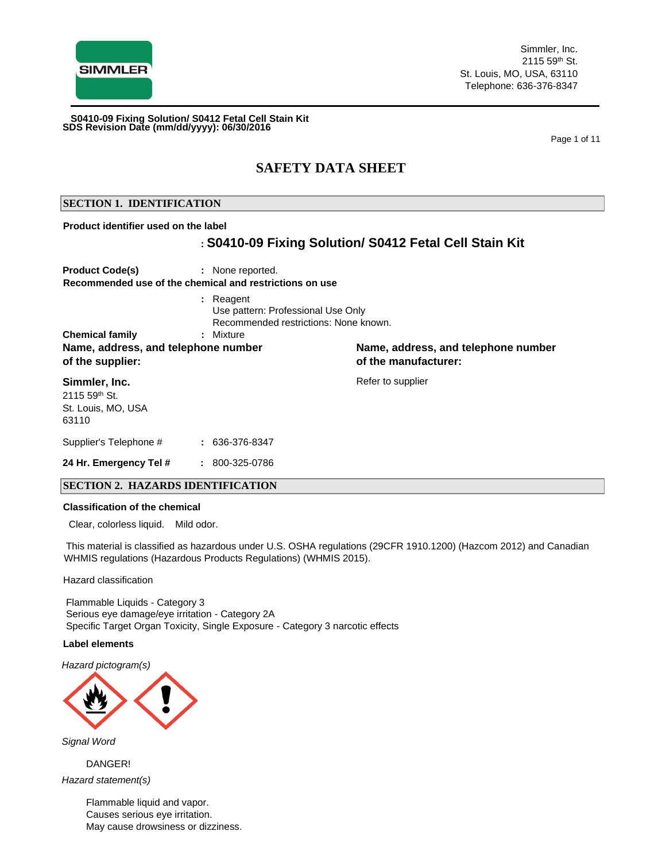

Page 1 of 11

## **SAFETY DATA SHEET**

## **SECTION 1. IDENTIFICATION**

#### **Product identifier used on the label**

## **: S0410-09 Fixing Solution/ S0412 Fetal Cell Stain Kit**

| <b>Product Code(s)</b>                                                            | : None reported.<br>Recommended use of the chemical and restrictions on use                           |                                                             |
|-----------------------------------------------------------------------------------|-------------------------------------------------------------------------------------------------------|-------------------------------------------------------------|
| <b>Chemical family</b><br>Name, address, and telephone number<br>of the supplier: | : Reagent<br>Use pattern: Professional Use Only<br>Recommended restrictions: None known.<br>: Mixture | Name, address, and telephone number<br>of the manufacturer: |
| Simmler, Inc.<br>$2115.59$ <sup>th</sup> St.<br>St. Louis, MO, USA<br>63110       |                                                                                                       | Refer to supplier                                           |

Supplier's Telephone # **:** 636-376-8347 **24 Hr. Emergency Tel # :** 800-325-0786

## **SECTION 2. HAZARDS IDENTIFICATION**

#### **Classification of the chemical**

Clear, colorless liquid. Mild odor.

This material is classified as hazardous under U.S. OSHA regulations (29CFR 1910.1200) (Hazcom 2012) and Canadian WHMIS regulations (Hazardous Products Regulations) (WHMIS 2015).

Hazard classification

Flammable Liquids - Category 3 Serious eye damage/eye irritation - Category 2A Specific Target Organ Toxicity, Single Exposure - Category 3 narcotic effects

#### **Label elements**

*Hazard pictogram(s)*



*Signal Word*

DANGER! *Hazard statement(s)*

> Flammable liquid and vapor. Causes serious eye irritation. May cause drowsiness or dizziness.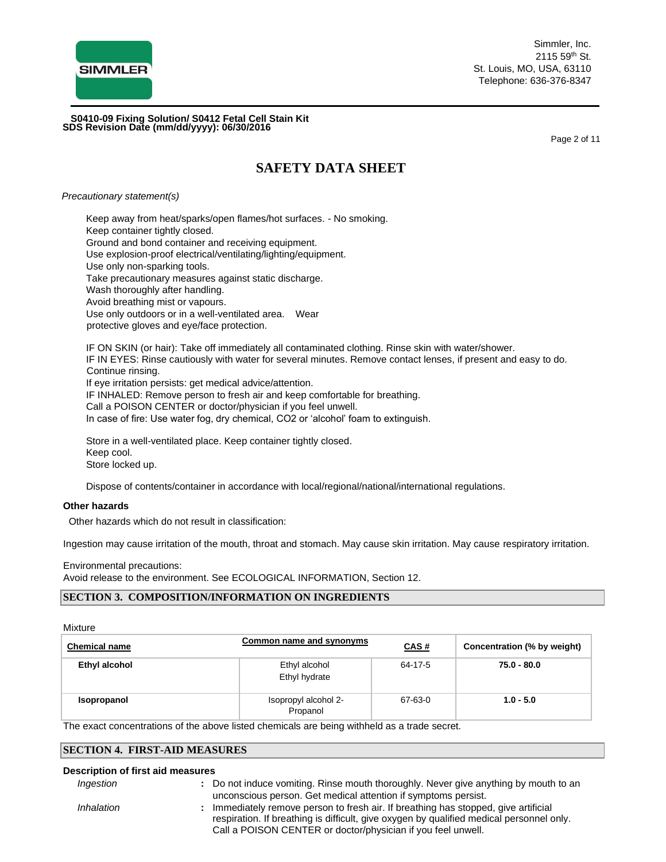

Simmler, Inc. 2115 59th St. St. Louis, MO, USA, 63110 Telephone: 636-376-8347

**SDS Revision Date (mm/dd/yyyy): 06/30/2016 S0410-09 Fixing Solution/ S0412 Fetal Cell Stain Kit**

Page 2 of 11

# **SAFETY DATA SHEET**

*Precautionary statement(s)*

Keep away from heat/sparks/open flames/hot surfaces. - No smoking. Keep container tightly closed. Ground and bond container and receiving equipment. Use explosion-proof electrical/ventilating/lighting/equipment. Use only non-sparking tools. Take precautionary measures against static discharge. Wash thoroughly after handling. Avoid breathing mist or vapours. Use only outdoors or in a well-ventilated area. Wear protective gloves and eye/face protection. IF ON SKIN (or hair): Take off immediately all contaminated clothing. Rinse skin with water/shower. IF IN EYES: Rinse cautiously with water for several minutes. Remove contact lenses, if present and easy to do. Continue rinsing.

If eye irritation persists: get medical advice/attention.

IF INHALED: Remove person to fresh air and keep comfortable for breathing.

Call a POISON CENTER or doctor/physician if you feel unwell.

In case of fire: Use water fog, dry chemical, CO2 or 'alcohol' foam to extinguish.

Store in a well-ventilated place. Keep container tightly closed. Keep cool. Store locked up.

Dispose of contents/container in accordance with local/regional/national/international regulations.

#### **Other hazards**

Other hazards which do not result in classification:

Ingestion may cause irritation of the mouth, throat and stomach. May cause skin irritation. May cause respiratory irritation.

Environmental precautions: Avoid release to the environment. See ECOLOGICAL INFORMATION, Section 12.

## **SECTION 3. COMPOSITION/INFORMATION ON INGREDIENTS**

Mixture

| <b>Chemical name</b> | Common name and synonyms         | <b>CAS#</b> | Concentration (% by weight) |
|----------------------|----------------------------------|-------------|-----------------------------|
| Ethyl alcohol        | Ethyl alcohol<br>Ethyl hydrate   | 64-17-5     | 75.0 - 80.0                 |
| Isopropanol          | Isopropyl alcohol 2-<br>Propanol | 67-63-0     | $1.0 - 5.0$                 |

The exact concentrations of the above listed chemicals are being withheld as a trade secret.

## **SECTION 4. FIRST-AID MEASURES**

#### **Description of first aid measures**

- *Ingestion* **:** Do not induce vomiting. Rinse mouth thoroughly. Never give anything by mouth to an unconscious person. Get medical attention if symptoms persist.
- *Inhalation* **:** Immediately remove person to fresh air. If breathing has stopped, give artificial respiration. If breathing is difficult, give oxygen by qualified medical personnel only. Call a POISON CENTER or doctor/physician if you feel unwell.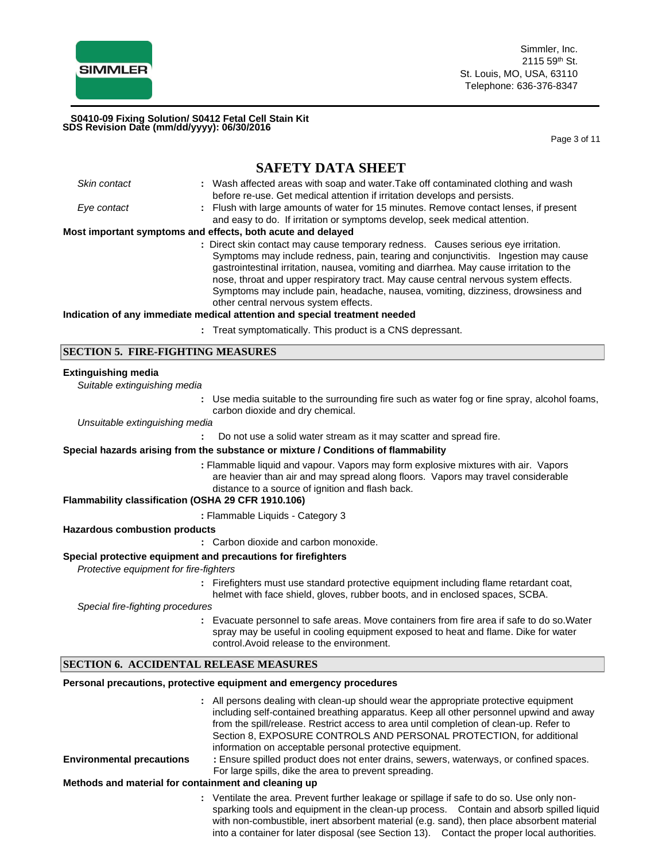

Page 3 of 11

## **SAFETY DATA SHEET** *Skin contact* **:** Wash affected areas with soap and water.Take off contaminated clothing and wash before re-use. Get medical attention if irritation develops and persists. *Eye contact* **:** Flush with large amounts of water for 15 minutes. Remove contact lenses, if present and easy to do. If irritation or symptoms develop, seek medical attention. **Most important symptoms and effects, both acute and delayed :** Direct skin contact may cause temporary redness. Causes serious eye irritation. Symptoms may include redness, pain, tearing and conjunctivitis. Ingestion may cause gastrointestinal irritation, nausea, vomiting and diarrhea. May cause irritation to the nose, throat and upper respiratory tract. May cause central nervous system effects. Symptoms may include pain, headache, nausea, vomiting, dizziness, drowsiness and other central nervous system effects. **Indication of any immediate medical attention and special treatment needed :** Treat symptomatically. This product is a CNS depressant. **SECTION 5. FIRE-FIGHTING MEASURES Extinguishing media** *Suitable extinguishing media* **:** Use media suitable to the surrounding fire such as water fog or fine spray, alcohol foams, carbon dioxide and dry chemical. *Unsuitable extinguishing media* **:** Do not use a solid water stream as it may scatter and spread fire. **Special hazards arising from the substance or mixture / Conditions of flammability :** Flammable liquid and vapour. Vapors may form explosive mixtures with air. Vapors are heavier than air and may spread along floors. Vapors may travel considerable distance to a source of ignition and flash back. **Flammability classification (OSHA 29 CFR 1910.106) :** Flammable Liquids - Category 3 **Hazardous combustion products :** Carbon dioxide and carbon monoxide. **Special protective equipment and precautions for firefighters**  *Protective equipment for fire-fighters* **:** Firefighters must use standard protective equipment including flame retardant coat, helmet with face shield, gloves, rubber boots, and in enclosed spaces, SCBA. *Special fire-fighting procedures* **:** Evacuate personnel to safe areas. Move containers from fire area if safe to do so.Water spray may be useful in cooling equipment exposed to heat and flame. Dike for water control.Avoid release to the environment. **SECTION 6. ACCIDENTAL RELEASE MEASURES Personal precautions, protective equipment and emergency procedures :** All persons dealing with clean-up should wear the appropriate protective equipment including self-contained breathing apparatus. Keep all other personnel upwind and away from the spill/release. Restrict access to area until completion of clean-up. Refer to Section 8, EXPOSURE CONTROLS AND PERSONAL PROTECTION, for additional information on acceptable personal protective equipment. **Environmental precautions :** Ensure spilled product does not enter drains, sewers, waterways, or confined spaces. For large spills, dike the area to prevent spreading. **Methods and material for containment and cleaning up :** Ventilate the area. Prevent further leakage or spillage if safe to do so. Use only nonsparking tools and equipment in the clean-up process. Contain and absorb spilled liquid

with non-combustible, inert absorbent material (e.g. sand), then place absorbent material into a container for later disposal (see Section 13). Contact the proper local authorities.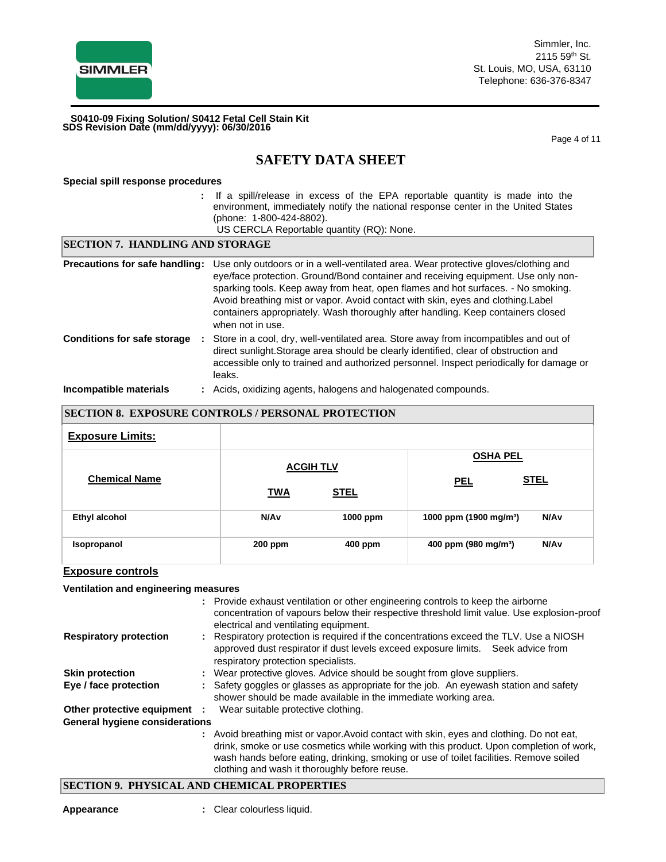

Simmler, Inc. 2115 59th St. St. Louis, MO, USA, 63110 Telephone: 636-376-8347

**SDS Revision Date (mm/dd/yyyy): 06/30/2016 S0410-09 Fixing Solution/ S0412 Fetal Cell Stain Kit**

Page 4 of 11

# **SAFETY DATA SHEET**

#### **Special spill response procedures**

- **:** If a spill/release in excess of the EPA reportable quantity is made into the environment, immediately notify the national response center in the United States (phone: 1-800-424-8802).
	- US CERCLA Reportable quantity (RQ): None.

| <b>SECTION 7. HANDLING AND STORAGE</b>   |                                                                                                                                                                                                                                                                                                                                                                                                                                                          |  |
|------------------------------------------|----------------------------------------------------------------------------------------------------------------------------------------------------------------------------------------------------------------------------------------------------------------------------------------------------------------------------------------------------------------------------------------------------------------------------------------------------------|--|
| Precautions for safe handling:           | Use only outdoors or in a well-ventilated area. Wear protective gloves/clothing and<br>eye/face protection. Ground/Bond container and receiving equipment. Use only non-<br>sparking tools. Keep away from heat, open flames and hot surfaces. - No smoking.<br>Avoid breathing mist or vapor. Avoid contact with skin, eyes and clothing. Label<br>containers appropriately. Wash thoroughly after handling. Keep containers closed<br>when not in use. |  |
| <b>Conditions for safe storage</b><br>÷. | Store in a cool, dry, well-ventilated area. Store away from incompatibles and out of<br>direct sunlight. Storage area should be clearly identified, clear of obstruction and<br>accessible only to trained and authorized personnel. Inspect periodically for damage or<br>leaks.                                                                                                                                                                        |  |
| Incompatible materials                   | : Acids, oxidizing agents, halogens and halogenated compounds.                                                                                                                                                                                                                                                                                                                                                                                           |  |

# **SECTION 8. EXPOSURE CONTROLS / PERSONAL PROTECTION Exposure Limits: ACGIH TL V TWA STEL OSHA PEL Chemical Name PEL STEL Ethyl alcohol N/Av 1000 ppm 1000 ppm (1900 mg/m³) N/Av Isopropanol 200 ppm 400 ppm 400 ppm (980 mg/m³) N/Av**

#### **Exposure controls**

#### **Ventilation and engineering measures**

|                                                 | : Provide exhaust ventilation or other engineering controls to keep the airborne<br>concentration of vapours below their respective threshold limit value. Use explosion-proof<br>electrical and ventilating equipment.                                                                                                        |
|-------------------------------------------------|--------------------------------------------------------------------------------------------------------------------------------------------------------------------------------------------------------------------------------------------------------------------------------------------------------------------------------|
| <b>Respiratory protection</b>                   | : Respiratory protection is required if the concentrations exceed the TLV. Use a NIOSH<br>approved dust respirator if dust levels exceed exposure limits. Seek advice from<br>respiratory protection specialists.                                                                                                              |
| <b>Skin protection</b>                          | : Wear protective gloves. Advice should be sought from glove suppliers.                                                                                                                                                                                                                                                        |
| Eye / face protection                           | : Safety goggles or glasses as appropriate for the job. An eyewash station and safety<br>shower should be made available in the immediate working area.                                                                                                                                                                        |
| Other protective equipment :                    | Wear suitable protective clothing.                                                                                                                                                                                                                                                                                             |
| <b>General hygiene considerations</b>           |                                                                                                                                                                                                                                                                                                                                |
|                                                 | : Avoid breathing mist or vapor. Avoid contact with skin, eyes and clothing. Do not eat,<br>drink, smoke or use cosmetics while working with this product. Upon completion of work,<br>wash hands before eating, drinking, smoking or use of toilet facilities. Remove soiled<br>clothing and wash it thoroughly before reuse. |
| $C_{L}$ $C_{L}$ $C_{L}$ $C_{L}$ $C_{L}$ $C_{L}$ | ND AIRMAALI DDADRDAIRG                                                                                                                                                                                                                                                                                                         |

#### **SECTION 9. PHYSICAL AND CHEMICAL PROPERTIES**

**Appearance :** Clear colourless liquid.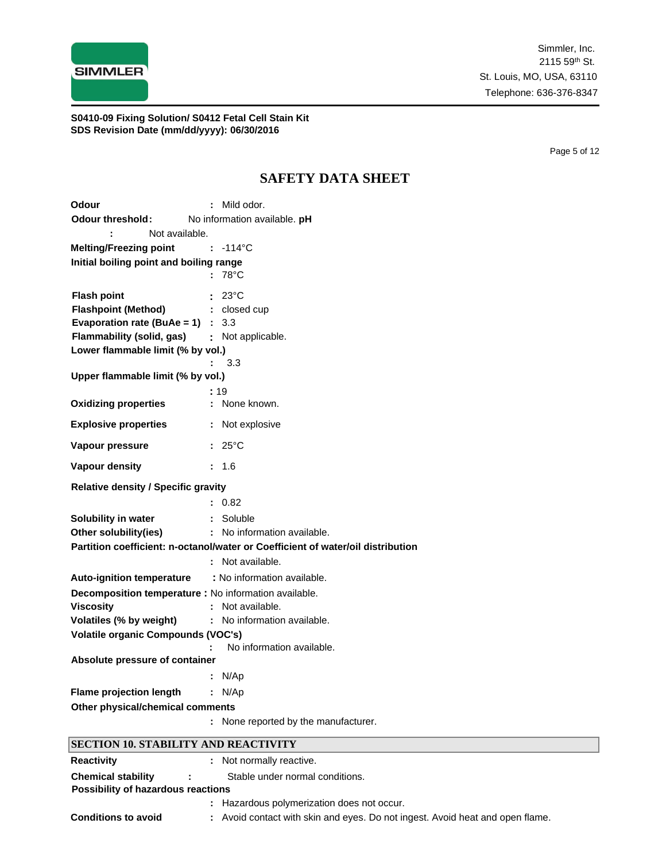

Page 5 of 12

# **SAFETY DATA SHEET**

| Odour                                                 | : Mild odor.                                                                    |
|-------------------------------------------------------|---------------------------------------------------------------------------------|
| <b>Odour threshold:</b>                               | No information available. pH                                                    |
| Not available.                                        |                                                                                 |
| <b>Melting/Freezing point</b>                         | $: -114^{\circ}$ C                                                              |
| Initial boiling point and boiling range               |                                                                                 |
|                                                       | $:78^{\circ}$ C                                                                 |
| <b>Flash point</b>                                    | $23^{\circ}$ C                                                                  |
| <b>Flashpoint (Method)</b>                            | : closed cup                                                                    |
| Evaporation rate (BuAe = 1) : $3.3$                   |                                                                                 |
| Flammability (solid, gas)                             | : Not applicable.                                                               |
| Lower flammable limit (% by vol.)                     |                                                                                 |
|                                                       | 3.3                                                                             |
| Upper flammable limit (% by vol.)                     |                                                                                 |
|                                                       | :19                                                                             |
| <b>Oxidizing properties</b>                           | : None known.                                                                   |
| <b>Explosive properties</b>                           | : Not explosive                                                                 |
| Vapour pressure                                       | $: 25^{\circ}$ C                                                                |
| Vapour density                                        | : 1.6                                                                           |
| <b>Relative density / Specific gravity</b>            |                                                                                 |
|                                                       | : 0.82                                                                          |
| Solubility in water                                   | : Soluble                                                                       |
| Other solubility(ies)                                 | : No information available.                                                     |
|                                                       | Partition coefficient: n-octanol/water or Coefficient of water/oil distribution |
|                                                       | : Not available.                                                                |
| <b>Auto-ignition temperature</b>                      | : No information available.                                                     |
| Decomposition temperature : No information available. |                                                                                 |
| <b>Viscosity</b>                                      | : Not available.                                                                |
| Volatiles (% by weight)                               | : No information available.                                                     |
| Volatile organic Compounds (VOC's)                    |                                                                                 |
|                                                       | No information available.                                                       |
| Absolute pressure of container                        |                                                                                 |
|                                                       | N/Ap                                                                            |
| <b>Flame projection length</b>                        | : N/Ap                                                                          |
| Other physical/chemical comments                      |                                                                                 |
|                                                       | : None reported by the manufacturer.                                            |
| <b>SECTION 10. STABILITY AND REACTIVITY</b>           |                                                                                 |
| <b>Reactivity</b>                                     | : Not normally reactive.                                                        |
| <b>Chemical stability</b>                             | Stable under normal conditions.                                                 |
| Possibility of hazardous reactions                    |                                                                                 |
|                                                       | Hazardous polymerization does not occur.                                        |
| <b>Conditions to avoid</b>                            | Avoid contact with skin and eyes. Do not ingest. Avoid heat and open flame.     |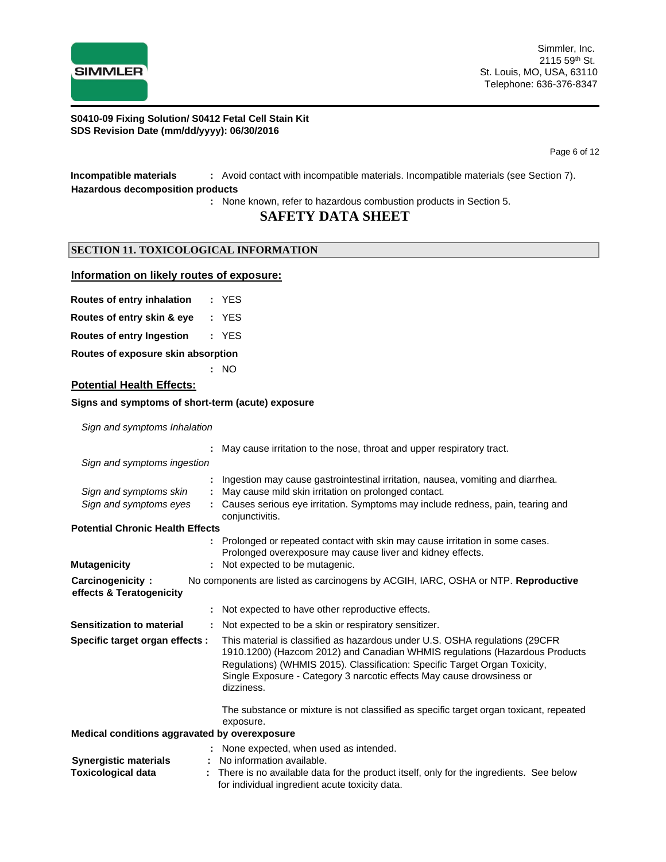

Page 6 of 12

## **Incompatible materials :** Avoid contact with incompatible materials. Incompatible materials (see Section 7). **Hazardous decomposition products**

**:** None known, refer to hazardous combustion products in Section 5.

## **SAFETY DATA SHEET**

## **SECTION 11. TOXICOLOGICAL INFORMATION**

#### **Information on likely routes of exposure:**

|  | Routes of entry inhalation |  | YES |
|--|----------------------------|--|-----|
|  |                            |  |     |

**Routes of entry skin & eye :** YES

**Routes of entry Ingestion :** YES

**Routes of exposure skin absorption**

**:** NO

#### **Potential Health Effects:**

#### **Signs and symptoms of short-term (acute) exposure**

*Sign and symptoms Inhalation*

|                                                           | May cause irritation to the nose, throat and upper respiratory tract.                                                                                                                                                                                                                                                            |
|-----------------------------------------------------------|----------------------------------------------------------------------------------------------------------------------------------------------------------------------------------------------------------------------------------------------------------------------------------------------------------------------------------|
| Sign and symptoms ingestion                               |                                                                                                                                                                                                                                                                                                                                  |
| Sign and symptoms skin<br>Sign and symptoms eyes          | Ingestion may cause gastrointestinal irritation, nausea, vomiting and diarrhea.<br>May cause mild skin irritation on prolonged contact.<br>Causes serious eye irritation. Symptoms may include redness, pain, tearing and<br>conjunctivitis.                                                                                     |
| <b>Potential Chronic Health Effects</b>                   |                                                                                                                                                                                                                                                                                                                                  |
| <b>Mutagenicity</b>                                       | : Prolonged or repeated contact with skin may cause irritation in some cases.<br>Prolonged overexposure may cause liver and kidney effects.<br>Not expected to be mutagenic.                                                                                                                                                     |
| Carcinogenicity:<br>effects & Teratogenicity              | No components are listed as carcinogens by ACGIH, IARC, OSHA or NTP. Reproductive                                                                                                                                                                                                                                                |
|                                                           | Not expected to have other reproductive effects.                                                                                                                                                                                                                                                                                 |
| <b>Sensitization to material</b>                          | : Not expected to be a skin or respiratory sensitizer.                                                                                                                                                                                                                                                                           |
| Specific target organ effects :                           | This material is classified as hazardous under U.S. OSHA regulations (29CFR)<br>1910.1200) (Hazcom 2012) and Canadian WHMIS regulations (Hazardous Products<br>Regulations) (WHMIS 2015). Classification: Specific Target Organ Toxicity,<br>Single Exposure - Category 3 narcotic effects May cause drowsiness or<br>dizziness. |
|                                                           | The substance or mixture is not classified as specific target organ toxicant, repeated<br>exposure.                                                                                                                                                                                                                              |
| Medical conditions aggravated by overexposure             |                                                                                                                                                                                                                                                                                                                                  |
| <b>Synergistic materials</b><br><b>Toxicological data</b> | : None expected, when used as intended.<br>No information available.<br>There is no available data for the product itself, only for the ingredients. See below<br>for individual ingredient acute toxicity data.                                                                                                                 |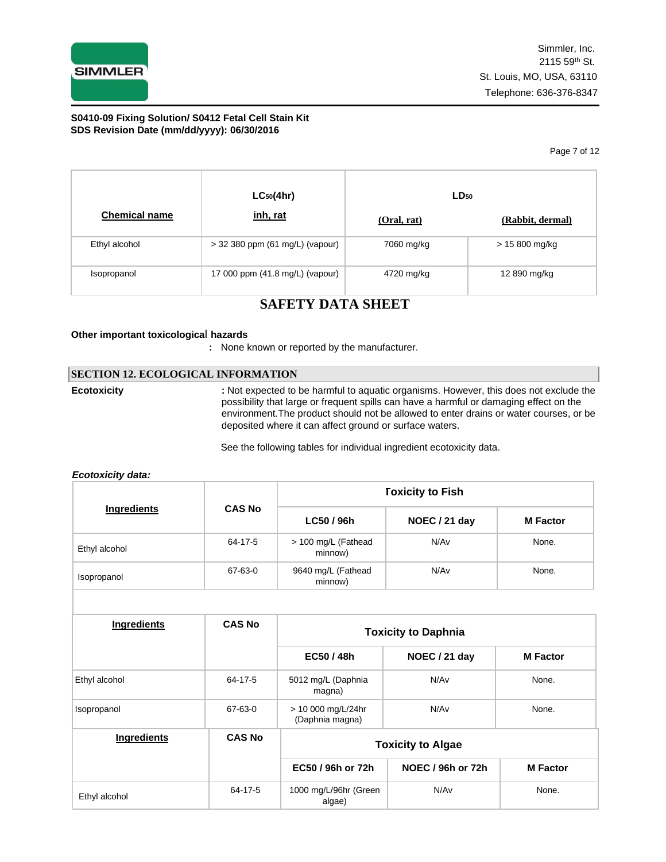

Page 7 of 12

|                      | $LC_{50}(4hr)$                    | $LD_{50}$   |                  |  |
|----------------------|-----------------------------------|-------------|------------------|--|
| <b>Chemical name</b> | inh, rat                          | (Oral, rat) | (Rabbit, dermal) |  |
| Ethyl alcohol        | $>$ 32 380 ppm (61 mg/L) (vapour) | 7060 mg/kg  | > 15 800 mg/kg   |  |
| Isopropanol          | 17 000 ppm (41.8 mg/L) (vapour)   | 4720 mg/kg  | 12 890 mg/kg     |  |

# **SAFETY DATA SHEET**

### **Other important toxicologica**l **hazards**

**:** None known or reported by the manufacturer.

### **SECTION 12. ECOLOGICAL INFORMATION**

**Ecotoxicity :** Not expected to be harmful to aquatic organisms. However, this does not exclude the possibility that large or frequent spills can have a harmful or damaging effect on the environment.The product should not be allowed to enter drains or water courses, or be deposited where it can affect ground or surface waters.

See the following tables for individual ingredient ecotoxicity data.

#### *Ecotoxicity data:*

|               |               | <b>Toxicity to Fish</b>        |               |                 |
|---------------|---------------|--------------------------------|---------------|-----------------|
| Ingredients   | <b>CAS No</b> | LC50 / 96h                     | NOEC / 21 day | <b>M</b> Factor |
| Ethyl alcohol | 64-17-5       | > 100 mg/L (Fathead<br>minnow) | N/Av          | None.           |
| Isopropanol   | 67-63-0       | 9640 mg/L (Fathead<br>minnow)  | N/Av          | None.           |

| Ingredients        | <b>CAS No</b> | <b>Toxicity to Daphnia</b>            |                          |                 |
|--------------------|---------------|---------------------------------------|--------------------------|-----------------|
|                    |               | EC50 / 48h                            | NOEC / 21 day            | <b>M</b> Factor |
| Ethyl alcohol      | 64-17-5       | 5012 mg/L (Daphnia<br>magna)          | N/Av                     | None.           |
| Isopropanol        | 67-63-0       | > 10 000 mg/L/24hr<br>(Daphnia magna) | N/Av                     | None.           |
| <b>Ingredients</b> | <b>CAS No</b> |                                       | <b>Toxicity to Algae</b> |                 |
|                    |               | EC50 / 96h or 72h                     | NOEC / 96h or 72h        | <b>M</b> Factor |
| Ethyl alcohol      | 64-17-5       | 1000 mg/L/96hr (Green<br>algae)       | N/Av                     | None.           |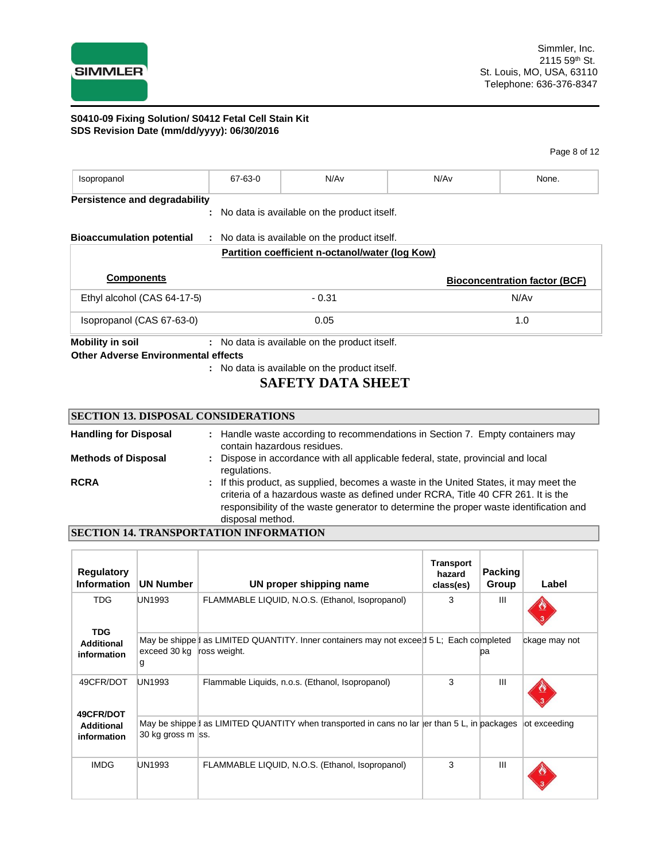

Page 8 of 12

| Isopropanol                          | 67-63-0 | N/A <sub>v</sub>                                | N/Av | None.                                |
|--------------------------------------|---------|-------------------------------------------------|------|--------------------------------------|
| <b>Persistence and degradability</b> |         |                                                 |      |                                      |
|                                      |         | : No data is available on the product itself.   |      |                                      |
| <b>Bioaccumulation potential</b>     |         | : No data is available on the product itself.   |      |                                      |
|                                      |         |                                                 |      |                                      |
|                                      |         | Partition coefficient n-octanol/water (log Kow) |      |                                      |
| <b>Components</b>                    |         |                                                 |      | <b>Bioconcentration factor (BCF)</b> |
| Ethyl alcohol (CAS 64-17-5)          |         | $-0.31$                                         |      | N/Av                                 |
| Isopropanol (CAS 67-63-0)            |         | 0.05                                            |      | 1.0                                  |

**Other Adverse Environmental effects** 

**:** No data is available on the product itself.

## **SAFETY DATA SHEET**

## **SECTION 13. DISPOSAL CONSIDERATIONS**

| <b>Handling for Disposal</b> | : Handle waste according to recommendations in Section 7. Empty containers may<br>contain hazardous residues.                                                                                                                                                                           |
|------------------------------|-----------------------------------------------------------------------------------------------------------------------------------------------------------------------------------------------------------------------------------------------------------------------------------------|
| <b>Methods of Disposal</b>   | : Dispose in accordance with all applicable federal, state, provincial and local<br>regulations.                                                                                                                                                                                        |
| <b>RCRA</b>                  | : If this product, as supplied, becomes a waste in the United States, it may meet the<br>criteria of a hazardous waste as defined under RCRA, Title 40 CFR 261. It is the<br>responsibility of the waste generator to determine the proper waste identification and<br>disposal method. |

## **SECTION 14. TRANSPORTATION INFORMATION**

| <b>Regulatory</b><br><b>Information</b>       | <b>UN Number</b>  | UN proper shipping name                                                                                | <b>Transport</b><br>hazard<br>class(es) | <b>Packing</b><br>Group | Label         |
|-----------------------------------------------|-------------------|--------------------------------------------------------------------------------------------------------|-----------------------------------------|-------------------------|---------------|
| <b>TDG</b><br><b>TDG</b>                      | <b>UN1993</b>     | FLAMMABLE LIQUID, N.O.S. (Ethanol, Isopropanol)                                                        | 3                                       | Ш                       |               |
| <b>Additional</b><br>information              | exceed 30 kg<br>g | May be shippe as LIMITED QUANTITY. Inner containers may not exceed 5 L; Each completed<br>ross weight. |                                         | рa                      | ckage may not |
| 49CFR/DOT                                     | <b>UN1993</b>     | Flammable Liquids, n.o.s. (Ethanol, Isopropanol)                                                       | 3                                       | $\mathbf{III}$          |               |
| 49CFR/DOT<br><b>Additional</b><br>information | 30 kg gross m ss. | May be shippe I as LIMITED QUANTITY when transported in cans no lar  er than $5$ L, in packages        |                                         |                         | lot exceeding |
| <b>IMDG</b>                                   | <b>UN1993</b>     | FLAMMABLE LIQUID, N.O.S. (Ethanol, Isopropanol)                                                        | 3                                       | $\mathbf{III}$          |               |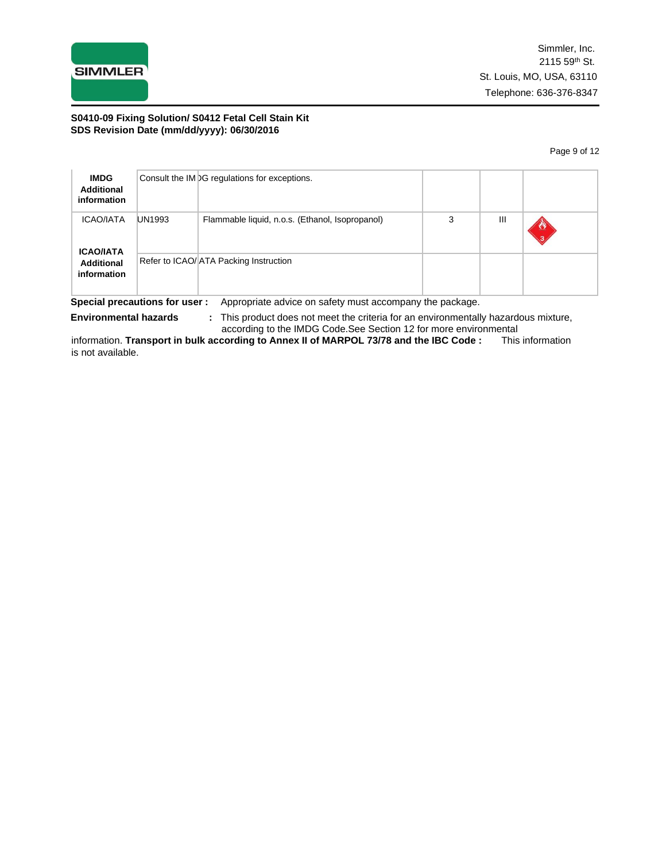

Page 9 of 12

| <b>IMDG</b><br><b>Additional</b><br>information |                        | Consult the IM DG regulations for exceptions.                                                        |           |   |  |
|-------------------------------------------------|------------------------|------------------------------------------------------------------------------------------------------|-----------|---|--|
| <b>ICAO/IATA</b><br><b>ICAO/IATA</b>            | <b>UN1993</b>          | Flammable liquid, n.o.s. (Ethanol, Isopropanol)                                                      | 3         | Ш |  |
| <b>Additional</b><br>information<br>. .         | $\sim$ .<br>$\epsilon$ | Refer to ICAO/ ATA Packing Instruction<br>.<br>$\mathbf{a}$<br>$\sim$ $\sim$ $\sim$<br>$\sim$ $\sim$ | $\cdot$ . |   |  |

**Special precautions for user :** Appropriate advice on safety must accompany the package.

**Environmental hazards :** This product does not meet the criteria for an environmentally hazardous mixture,

according to the IMDG Code.See Section 12 for more environmental<br>cording to Annex II of MARPOL 73/78 and the IBC Code : This information information. **Transport in bulk according to Annex II of MARPOL 73/78 and the IBC Code:** is not available.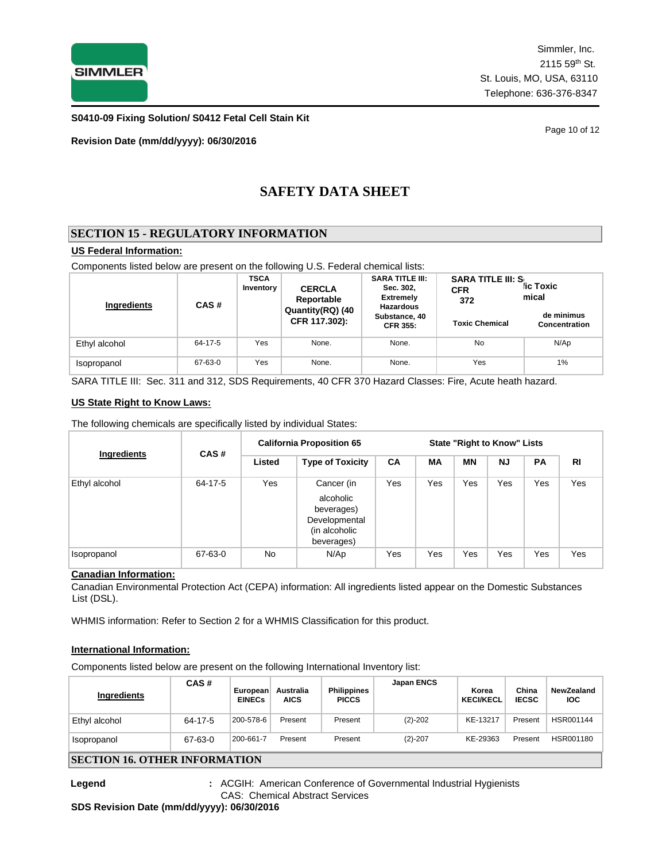

**S0410-09 Fixing Solution/ S0412 Fetal Cell Stain Kit**

**Revision Date (mm/dd/yyyy): 06/30/2016**

Page 10 of 12

# **SAFETY DATA SHEET**

## **SECTION 15 - REGULATORY INFORMATION**

## **US Federal Information:**

Components listed below are present on the following U.S. Federal chemical lists:

| Ingredients   | CAS#    | <b>TSCA</b><br>Inventory          | <b>CERCLA</b><br>Reportable | <b>SARA TITLE III:</b><br>Sec. 302,<br><b>Extremely</b><br><b>Hazardous</b> | <b>SARA TITLE III: S</b><br><b>CFR</b><br>372 | ic Toxic<br>mical           |  |
|---------------|---------|-----------------------------------|-----------------------------|-----------------------------------------------------------------------------|-----------------------------------------------|-----------------------------|--|
|               |         | Quantity(RQ) (40<br>CFR 117.302): |                             | Substance, 40<br><b>CFR 355:</b>                                            | <b>Toxic Chemical</b>                         | de minimus<br>Concentration |  |
| Ethyl alcohol | 64-17-5 | Yes                               | None.                       | None.                                                                       | No                                            | N/Ap                        |  |
| Isopropanol   | 67-63-0 | Yes                               | None.                       | None.                                                                       | Yes                                           | 1%                          |  |

SARA TITLE III: Sec. 311 and 312, SDS Requirements, 40 CFR 370 Hazard Classes: Fire, Acute heath hazard.

#### **US State Right to Know Laws:**

The following chemicals are specifically listed by individual States:

|               | CAS#    | <b>California Proposition 65</b> |                                                                                       |           |     | <b>State "Right to Know" Lists</b> |           |           |     |
|---------------|---------|----------------------------------|---------------------------------------------------------------------------------------|-----------|-----|------------------------------------|-----------|-----------|-----|
| Ingredients   |         | Listed                           | <b>Type of Toxicity</b>                                                               | <b>CA</b> | МA  | <b>MN</b>                          | <b>NJ</b> | <b>PA</b> | RI  |
| Ethyl alcohol | 64-17-5 | Yes                              | Cancer (in<br>alcoholic<br>beverages)<br>Developmental<br>(in alcoholic<br>beverages) | Yes       | Yes | Yes                                | Yes       | Yes       | Yes |
| Isopropanol   | 67-63-0 | <b>No</b>                        | N/Ap                                                                                  | Yes       | Yes | Yes                                | Yes       | Yes       | Yes |

## **Canadian Information:**

Canadian Environmental Protection Act (CEPA) information: All ingredients listed appear on the Domestic Substances List (DSL).

WHMIS information: Refer to Section 2 for a WHMIS Classification for this product.

#### **International Information:**

Components listed below are present on the following International Inventory list:

| Ingredients                  | CAS#    | European<br><b>EINECs</b> | Australia<br><b>AICS</b> | <b>Philippines</b><br><b>PICCS</b> | <b>Japan ENCS</b> | Korea<br><b>KECI/KECL</b> | China<br><b>IECSC</b> | NewZealand<br><b>IOC</b> |
|------------------------------|---------|---------------------------|--------------------------|------------------------------------|-------------------|---------------------------|-----------------------|--------------------------|
| Ethyl alcohol                | 64-17-5 | 200-578-6                 | Present                  | Present                            | $(2)-202$         | KE-13217                  | Present               | HSR001144                |
| Isopropanol                  | 67-63-0 | 200-661-7                 | Present                  | Present                            | $(2)-207$         | KE-29363                  | Present               | HSR001180                |
| KECTION 16 OTHED INFODMATION |         |                           |                          |                                    |                   |                           |                       |                          |

## **SECTION 16. OTHER INFORMATION**

**Legend :** ACGIH: American Conference of Governmental Industrial Hygienists CAS: Chemical Abstract Services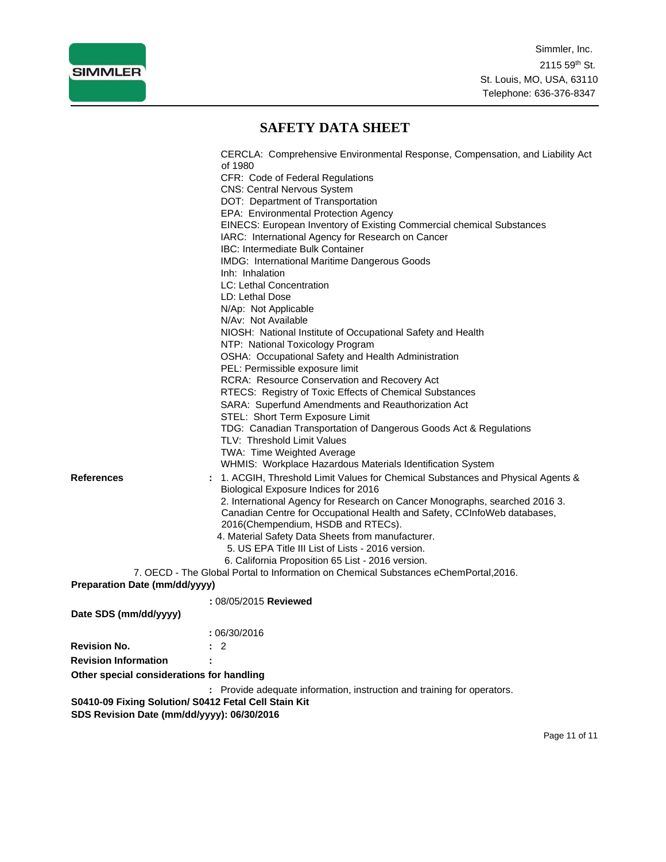

# **SAFETY DATA SHEET**

|                                           | CERCLA: Comprehensive Environmental Response, Compensation, and Liability Act        |
|-------------------------------------------|--------------------------------------------------------------------------------------|
|                                           | of 1980<br>CFR: Code of Federal Regulations                                          |
|                                           | <b>CNS: Central Nervous System</b>                                                   |
|                                           | DOT: Department of Transportation                                                    |
|                                           | EPA: Environmental Protection Agency                                                 |
|                                           | EINECS: European Inventory of Existing Commercial chemical Substances                |
|                                           | IARC: International Agency for Research on Cancer                                    |
|                                           | <b>IBC: Intermediate Bulk Container</b>                                              |
|                                           | IMDG: International Maritime Dangerous Goods                                         |
|                                           | Inh: Inhalation                                                                      |
|                                           | LC: Lethal Concentration                                                             |
|                                           | LD: Lethal Dose                                                                      |
|                                           | N/Ap: Not Applicable                                                                 |
|                                           | N/Av: Not Available                                                                  |
|                                           | NIOSH: National Institute of Occupational Safety and Health                          |
|                                           | NTP: National Toxicology Program                                                     |
|                                           | OSHA: Occupational Safety and Health Administration                                  |
|                                           | PEL: Permissible exposure limit                                                      |
|                                           | <b>RCRA: Resource Conservation and Recovery Act</b>                                  |
|                                           | RTECS: Registry of Toxic Effects of Chemical Substances                              |
|                                           | SARA: Superfund Amendments and Reauthorization Act                                   |
|                                           | STEL: Short Term Exposure Limit                                                      |
|                                           | TDG: Canadian Transportation of Dangerous Goods Act & Regulations                    |
|                                           | TLV: Threshold Limit Values                                                          |
|                                           | TWA: Time Weighted Average                                                           |
|                                           | WHMIS: Workplace Hazardous Materials Identification System                           |
| <b>References</b>                         | : 1. ACGIH, Threshold Limit Values for Chemical Substances and Physical Agents &     |
|                                           | Biological Exposure Indices for 2016                                                 |
|                                           | 2. International Agency for Research on Cancer Monographs, searched 2016 3.          |
|                                           | Canadian Centre for Occupational Health and Safety, CCInfoWeb databases,             |
|                                           | 2016(Chempendium, HSDB and RTECs).                                                   |
|                                           | 4. Material Safety Data Sheets from manufacturer.                                    |
|                                           | 5. US EPA Title III List of Lists - 2016 version.                                    |
|                                           | 6. California Proposition 65 List - 2016 version.                                    |
|                                           | 7. OECD - The Global Portal to Information on Chemical Substances eChemPortal, 2016. |
| <b>Preparation Date (mm/dd/yyyy)</b>      |                                                                                      |
|                                           | : 08/05/2015 Reviewed                                                                |
| Date SDS (mm/dd/yyyy)                     |                                                                                      |
|                                           | :06/30/2016                                                                          |
| <b>Revision No.</b>                       | $\therefore$ 2                                                                       |
| <b>Revision Information</b>               |                                                                                      |
| Other special considerations for handling |                                                                                      |
|                                           | : Provide adequate information, instruction and training for operators.              |
| CDC Devision Deta (mm/ddhana), OC/20/2016 | S0410-09 Fixing Solution/ S0412 Fetal Cell Stain Kit                                 |

**SDS Revision Date (mm/dd/yyyy): 06/30/2016**